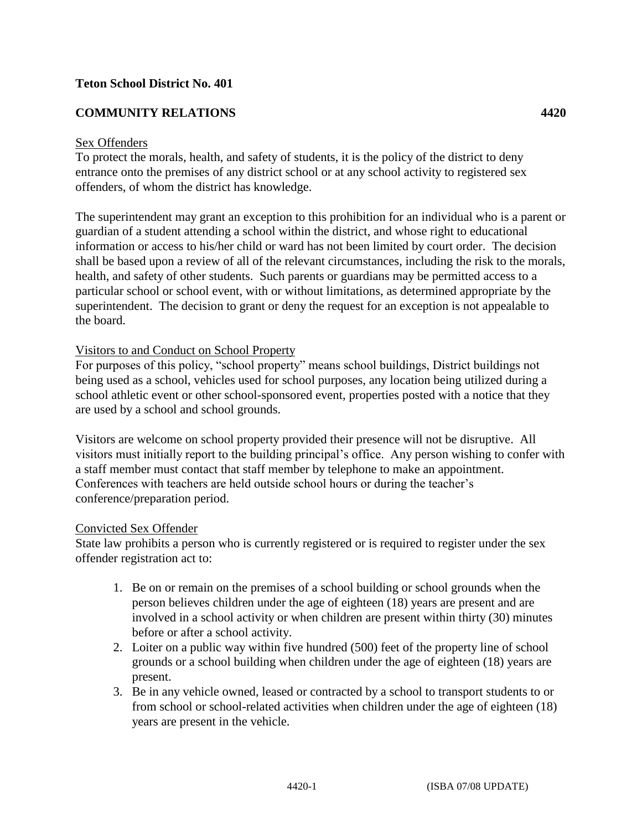# **Teton School District No. 401**

# **COMMUNITY RELATIONS 4420**

# Sex Offenders

To protect the morals, health, and safety of students, it is the policy of the district to deny entrance onto the premises of any district school or at any school activity to registered sex offenders, of whom the district has knowledge.

The superintendent may grant an exception to this prohibition for an individual who is a parent or guardian of a student attending a school within the district, and whose right to educational information or access to his/her child or ward has not been limited by court order. The decision shall be based upon a review of all of the relevant circumstances, including the risk to the morals, health, and safety of other students. Such parents or guardians may be permitted access to a particular school or school event, with or without limitations, as determined appropriate by the superintendent. The decision to grant or deny the request for an exception is not appealable to the board.

# Visitors to and Conduct on School Property

For purposes of this policy, "school property" means school buildings, District buildings not being used as a school, vehicles used for school purposes, any location being utilized during a school athletic event or other school-sponsored event, properties posted with a notice that they are used by a school and school grounds.

Visitors are welcome on school property provided their presence will not be disruptive. All visitors must initially report to the building principal's office. Any person wishing to confer with a staff member must contact that staff member by telephone to make an appointment. Conferences with teachers are held outside school hours or during the teacher's conference/preparation period.

#### Convicted Sex Offender

State law prohibits a person who is currently registered or is required to register under the sex offender registration act to:

- 1. Be on or remain on the premises of a school building or school grounds when the person believes children under the age of eighteen (18) years are present and are involved in a school activity or when children are present within thirty (30) minutes before or after a school activity.
- 2. Loiter on a public way within five hundred (500) feet of the property line of school grounds or a school building when children under the age of eighteen (18) years are present.
- 3. Be in any vehicle owned, leased or contracted by a school to transport students to or from school or school-related activities when children under the age of eighteen (18) years are present in the vehicle.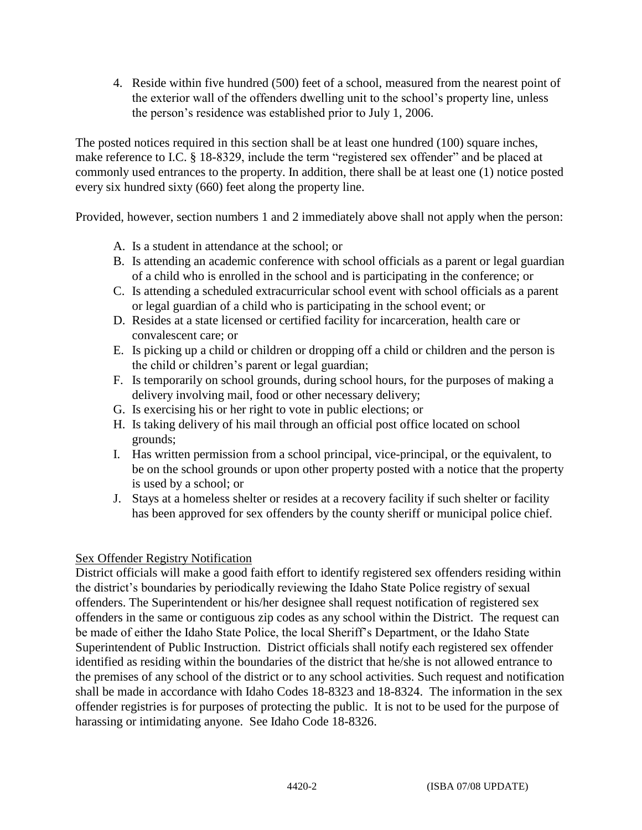4. Reside within five hundred (500) feet of a school, measured from the nearest point of the exterior wall of the offenders dwelling unit to the school's property line, unless the person's residence was established prior to July 1, 2006.

The posted notices required in this section shall be at least one hundred (100) square inches, make reference to I.C. § 18-8329, include the term "registered sex offender" and be placed at commonly used entrances to the property. In addition, there shall be at least one (1) notice posted every six hundred sixty (660) feet along the property line.

Provided, however, section numbers 1 and 2 immediately above shall not apply when the person:

- A. Is a student in attendance at the school; or
- B. Is attending an academic conference with school officials as a parent or legal guardian of a child who is enrolled in the school and is participating in the conference; or
- C. Is attending a scheduled extracurricular school event with school officials as a parent or legal guardian of a child who is participating in the school event; or
- D. Resides at a state licensed or certified facility for incarceration, health care or convalescent care; or
- E. Is picking up a child or children or dropping off a child or children and the person is the child or children's parent or legal guardian;
- F. Is temporarily on school grounds, during school hours, for the purposes of making a delivery involving mail, food or other necessary delivery;
- G. Is exercising his or her right to vote in public elections; or
- H. Is taking delivery of his mail through an official post office located on school grounds;
- I. Has written permission from a school principal, vice-principal, or the equivalent, to be on the school grounds or upon other property posted with a notice that the property is used by a school; or
- J. Stays at a homeless shelter or resides at a recovery facility if such shelter or facility has been approved for sex offenders by the county sheriff or municipal police chief.

# Sex Offender Registry Notification

District officials will make a good faith effort to identify registered sex offenders residing within the district's boundaries by periodically reviewing the Idaho State Police registry of sexual offenders. The Superintendent or his/her designee shall request notification of registered sex offenders in the same or contiguous zip codes as any school within the District. The request can be made of either the Idaho State Police, the local Sheriff's Department, or the Idaho State Superintendent of Public Instruction. District officials shall notify each registered sex offender identified as residing within the boundaries of the district that he/she is not allowed entrance to the premises of any school of the district or to any school activities. Such request and notification shall be made in accordance with Idaho Codes 18-8323 and 18-8324. The information in the sex offender registries is for purposes of protecting the public. It is not to be used for the purpose of harassing or intimidating anyone. See Idaho Code 18-8326.